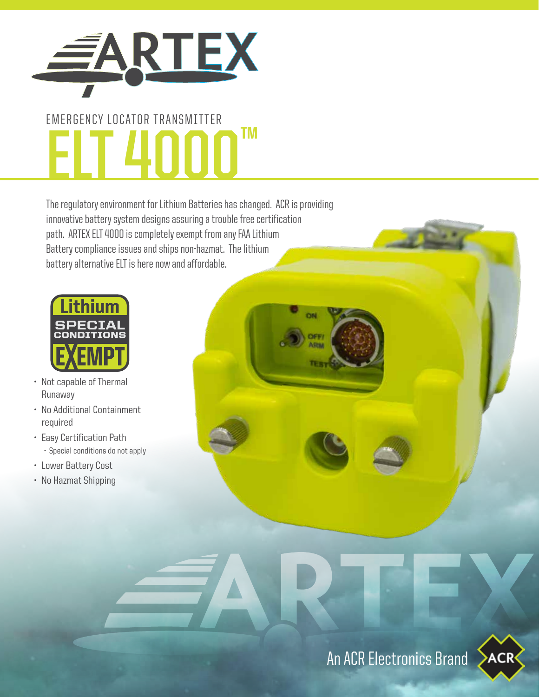

# EMERGENCY LOCATOR TRANSMITTER **ELT 4000™**

The regulatory environment for Lithium Batteries has changed. ACR is providing innovative battery system designs assuring a trouble free certification path. ARTEX ELT 4000 is completely exempt from any FAA Lithium Battery compliance issues and ships non-hazmat. The lithium battery alternative ELT is here now and affordable.



- Not capable of Thermal Runaway
- No Additional Containment required
- Easy Certification Path • Special conditions do not apply
- Lower Battery Cost
- No Hazmat Shipping

**NOT FAA or FCC Approved.**

This device has not been authorized as required by the rules of the FCC. This device is not, and may not be offered for sale or lease, or sold or leased until authorization is obtained.